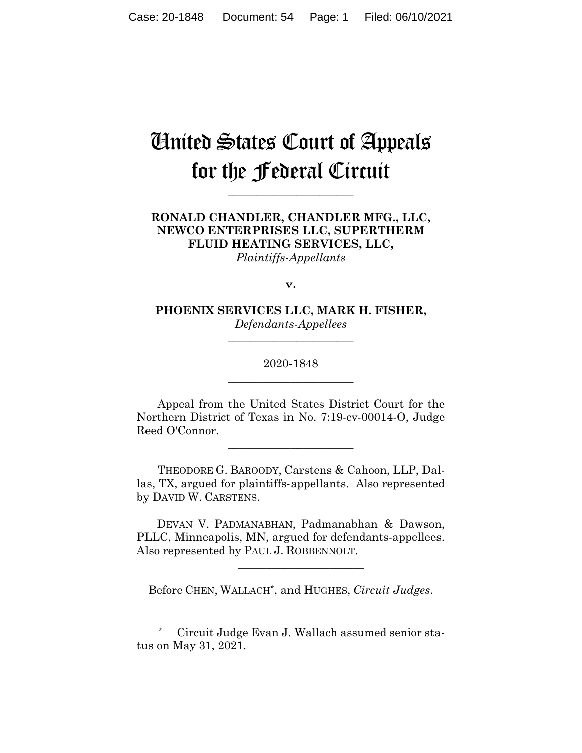# United States Court of Appeals for the Federal Circuit

**\_\_\_\_\_\_\_\_\_\_\_\_\_\_\_\_\_\_\_\_\_\_**

# **RONALD CHANDLER, CHANDLER MFG., LLC, NEWCO ENTERPRISES LLC, SUPERTHERM FLUID HEATING SERVICES, LLC,** *Plaintiffs-Appellants*

**v.**

**PHOENIX SERVICES LLC, MARK H. FISHER,** *Defendants-Appellees*

**\_\_\_\_\_\_\_\_\_\_\_\_\_\_\_\_\_\_\_\_\_\_**

# 2020-1848 **\_\_\_\_\_\_\_\_\_\_\_\_\_\_\_\_\_\_\_\_\_\_**

Appeal from the United States District Court for the Northern District of Texas in No. 7:19-cv-00014-O, Judge Reed O'Connor.

**\_\_\_\_\_\_\_\_\_\_\_\_\_\_\_\_\_\_\_\_\_\_**

THEODORE G. BAROODY, Carstens & Cahoon, LLP, Dallas, TX, argued for plaintiffs-appellants. Also represented by DAVID W. CARSTENS.

 DEVAN V. PADMANABHAN, Padmanabhan & Dawson, PLLC, Minneapolis, MN, argued for defendants-appellees. Also represented by PAUL J. ROBBENNOLT.

Before CHEN, WALLACH\*, and HUGHES, *Circuit Judges*.

\_\_\_\_\_\_\_\_\_\_\_\_\_\_\_\_\_\_\_\_\_\_

\_\_\_\_\_\_\_\_\_\_\_\_\_\_\_\_\_\_\_\_\_\_\_\_\_\_\_\_\_\_\_\_

<sup>\*</sup> Circuit Judge Evan J. Wallach assumed senior status on May 31, 2021.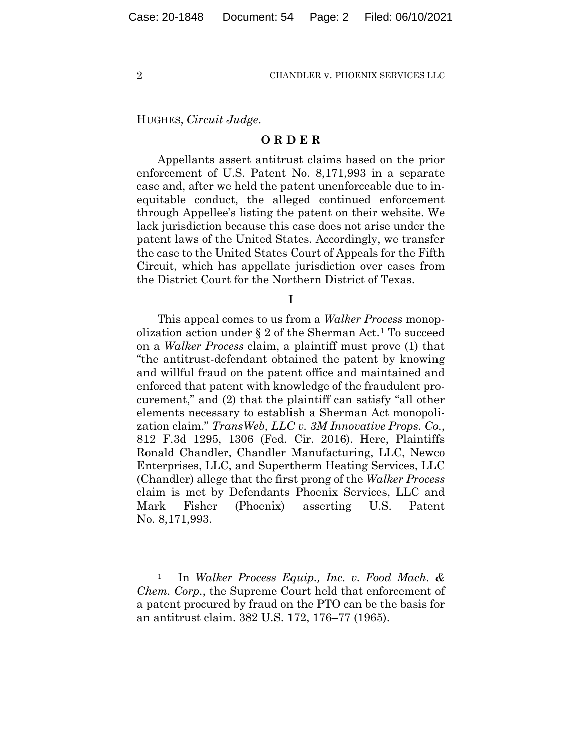HUGHES, *Circuit Judge*.

## **O R D E R**

Appellants assert antitrust claims based on the prior enforcement of U.S. Patent No. 8,171,993 in a separate case and, after we held the patent unenforceable due to inequitable conduct, the alleged continued enforcement through Appellee's listing the patent on their website. We lack jurisdiction because this case does not arise under the patent laws of the United States. Accordingly, we transfer the case to the United States Court of Appeals for the Fifth Circuit, which has appellate jurisdiction over cases from the District Court for the Northern District of Texas.

I

This appeal comes to us from a *Walker Process* monopolization action under § 2 of the Sherman Act.[1](#page-1-0) To succeed on a *Walker Process* claim, a plaintiff must prove (1) that "the antitrust-defendant obtained the patent by knowing and willful fraud on the patent office and maintained and enforced that patent with knowledge of the fraudulent procurement," and (2) that the plaintiff can satisfy "all other elements necessary to establish a Sherman Act monopolization claim." *TransWeb, LLC v. 3M Innovative Props. Co.*, 812 F.3d 1295, 1306 (Fed. Cir. 2016). Here, Plaintiffs Ronald Chandler, Chandler Manufacturing, LLC, Newco Enterprises, LLC, and Supertherm Heating Services, LLC (Chandler) allege that the first prong of the *Walker Process* claim is met by Defendants Phoenix Services, LLC and Mark Fisher (Phoenix) asserting U.S. Patent No. 8,171,993.

<span id="page-1-0"></span><sup>1</sup> In *Walker Process Equip., Inc. v. Food Mach. & Chem. Corp.*, the Supreme Court held that enforcement of a patent procured by fraud on the PTO can be the basis for an antitrust claim. 382 U.S. 172, 176–77 (1965).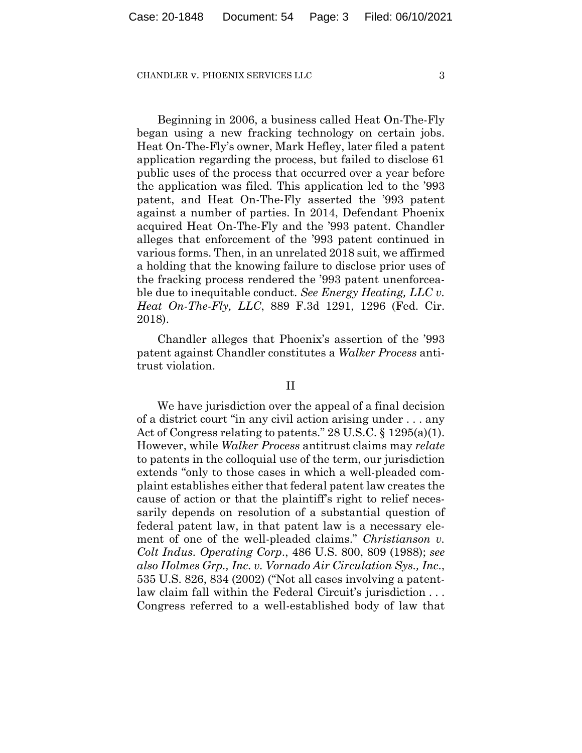Beginning in 2006, a business called Heat On-The-Fly began using a new fracking technology on certain jobs. Heat On-The-Fly's owner, Mark Hefley, later filed a patent application regarding the process, but failed to disclose 61 public uses of the process that occurred over a year before the application was filed. This application led to the '993 patent, and Heat On-The-Fly asserted the '993 patent against a number of parties. In 2014, Defendant Phoenix acquired Heat On-The-Fly and the '993 patent. Chandler alleges that enforcement of the '993 patent continued in various forms. Then, in an unrelated 2018 suit, we affirmed a holding that the knowing failure to disclose prior uses of the fracking process rendered the '993 patent unenforceable due to inequitable conduct. *See Energy Heating, LLC v. Heat On-The-Fly, LLC*, 889 F.3d 1291, 1296 (Fed. Cir. 2018).

Chandler alleges that Phoenix's assertion of the '993 patent against Chandler constitutes a *Walker Process* antitrust violation.

## II

We have jurisdiction over the appeal of a final decision of a district court "in any civil action arising under . . . any Act of Congress relating to patents." 28 U.S.C. § 1295(a)(1). However, while *Walker Process* antitrust claims may *relate* to patents in the colloquial use of the term, our jurisdiction extends "only to those cases in which a well-pleaded complaint establishes either that federal patent law creates the cause of action or that the plaintiff's right to relief necessarily depends on resolution of a substantial question of federal patent law, in that patent law is a necessary element of one of the well-pleaded claims." *Christianson v. Colt Indus. Operating Corp*., 486 U.S. 800, 809 (1988); *see also Holmes Grp., Inc. v. Vornado Air Circulation Sys., Inc*., 535 U.S. 826, 834 (2002) ("Not all cases involving a patentlaw claim fall within the Federal Circuit's jurisdiction . . . Congress referred to a well-established body of law that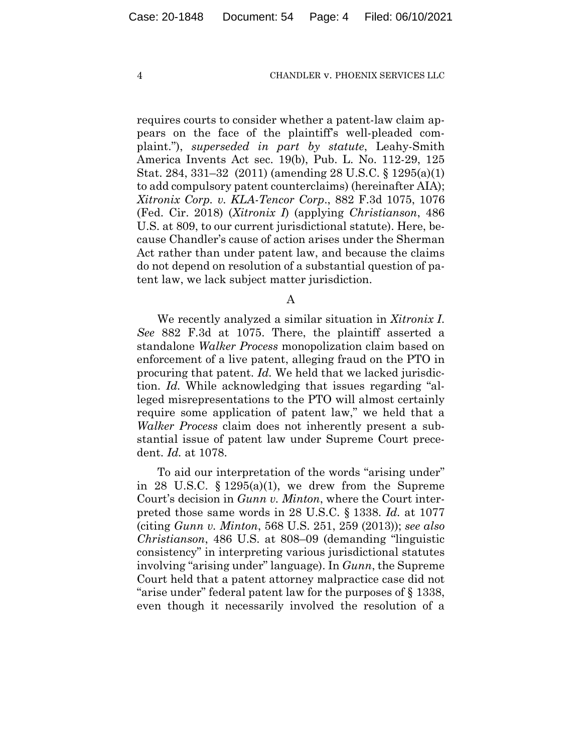requires courts to consider whether a patent-law claim appears on the face of the plaintiff's well-pleaded complaint."), *superseded in part by statute*, Leahy-Smith America Invents Act sec. 19(b), Pub. L. No. 112-29, 125 Stat. 284, 331–32 (2011) (amending 28 U.S.C. § 1295(a)(1) to add compulsory patent counterclaims) (hereinafter AIA); *Xitronix Corp. v. KLA-Tencor Corp*., 882 F.3d 1075, 1076 (Fed. Cir. 2018) (*Xitronix I*) (applying *Christianson*, 486 U.S. at 809, to our current jurisdictional statute). Here, because Chandler's cause of action arises under the Sherman Act rather than under patent law, and because the claims do not depend on resolution of a substantial question of patent law, we lack subject matter jurisdiction.

A

We recently analyzed a similar situation in *Xitronix I*. *See* 882 F.3d at 1075. There, the plaintiff asserted a standalone *Walker Process* monopolization claim based on enforcement of a live patent, alleging fraud on the PTO in procuring that patent. *Id.* We held that we lacked jurisdiction. *Id.* While acknowledging that issues regarding "alleged misrepresentations to the PTO will almost certainly require some application of patent law," we held that a *Walker Process* claim does not inherently present a substantial issue of patent law under Supreme Court precedent. *Id.* at 1078.

To aid our interpretation of the words "arising under" in 28 U.S.C.  $\S$  1295(a)(1), we drew from the Supreme Court's decision in *Gunn v. Minton*, where the Court interpreted those same words in 28 U.S.C. § 1338. *Id.* at 1077 (citing *Gunn v. Minton*, 568 U.S. 251, 259 (2013)); *see also Christianson*, 486 U.S. at 808–09 (demanding "linguistic consistency" in interpreting various jurisdictional statutes involving "arising under" language). In *Gunn*, the Supreme Court held that a patent attorney malpractice case did not "arise under" federal patent law for the purposes of § 1338, even though it necessarily involved the resolution of a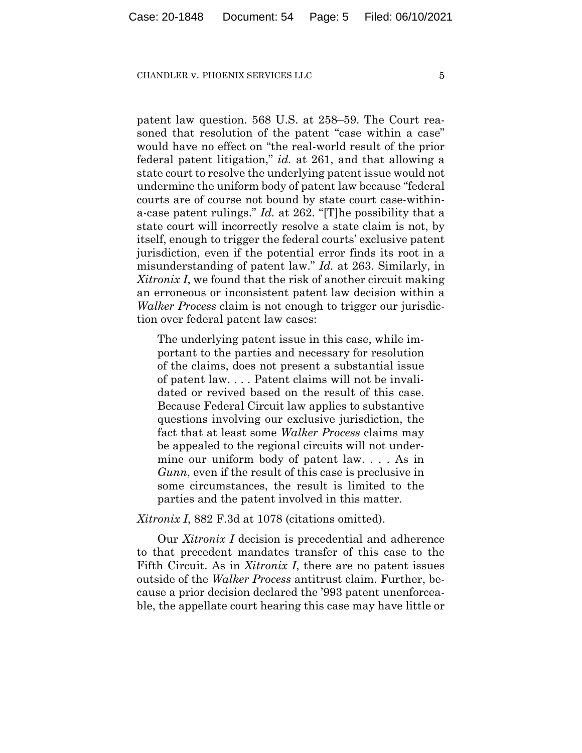patent law question. 568 U.S. at 258–59. The Court reasoned that resolution of the patent "case within a case" would have no effect on "the real-world result of the prior federal patent litigation," *id.* at 261, and that allowing a state court to resolve the underlying patent issue would not undermine the uniform body of patent law because "federal courts are of course not bound by state court case-withina-case patent rulings." *Id.* at 262. "[T]he possibility that a state court will incorrectly resolve a state claim is not, by itself, enough to trigger the federal courts' exclusive patent jurisdiction, even if the potential error finds its root in a misunderstanding of patent law." *Id.* at 263. Similarly, in *Xitronix I*, we found that the risk of another circuit making an erroneous or inconsistent patent law decision within a *Walker Process* claim is not enough to trigger our jurisdiction over federal patent law cases:

The underlying patent issue in this case, while important to the parties and necessary for resolution of the claims, does not present a substantial issue of patent law. . . . Patent claims will not be invalidated or revived based on the result of this case. Because Federal Circuit law applies to substantive questions involving our exclusive jurisdiction, the fact that at least some *Walker Process* claims may be appealed to the regional circuits will not undermine our uniform body of patent law. . . . As in *Gunn*, even if the result of this case is preclusive in some circumstances, the result is limited to the parties and the patent involved in this matter.

*Xitronix I*, 882 F.3d at 1078 (citations omitted).

Our *Xitronix I* decision is precedential and adherence to that precedent mandates transfer of this case to the Fifth Circuit. As in *Xitronix I*, there are no patent issues outside of the *Walker Process* antitrust claim. Further, because a prior decision declared the '993 patent unenforceable, the appellate court hearing this case may have little or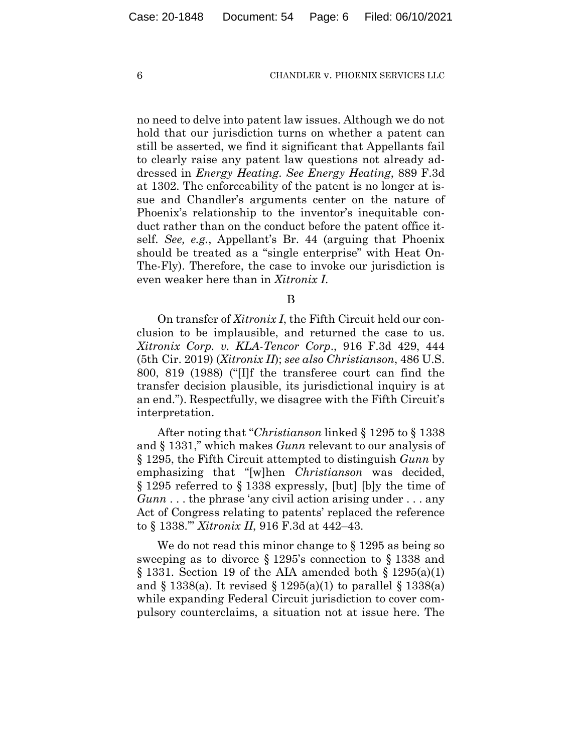no need to delve into patent law issues. Although we do not hold that our jurisdiction turns on whether a patent can still be asserted, we find it significant that Appellants fail to clearly raise any patent law questions not already addressed in *Energy Heating*. *See Energy Heating*, 889 F.3d at 1302. The enforceability of the patent is no longer at issue and Chandler's arguments center on the nature of Phoenix's relationship to the inventor's inequitable conduct rather than on the conduct before the patent office itself. *See, e.g.*, Appellant's Br. 44 (arguing that Phoenix should be treated as a "single enterprise" with Heat On-The-Fly). Therefore, the case to invoke our jurisdiction is even weaker here than in *Xitronix I*.

B

On transfer of *Xitronix I*, the Fifth Circuit held our conclusion to be implausible, and returned the case to us. *Xitronix Corp. v. KLA-Tencor Corp*., 916 F.3d 429, 444 (5th Cir. 2019) (*Xitronix II*); *see also Christianson*, 486 U.S. 800, 819 (1988) ("[I]f the transferee court can find the transfer decision plausible, its jurisdictional inquiry is at an end."). Respectfully, we disagree with the Fifth Circuit's interpretation.

After noting that "*Christianson* linked § 1295 to § 1338 and § 1331," which makes *Gunn* relevant to our analysis of § 1295, the Fifth Circuit attempted to distinguish *Gunn* by emphasizing that "[w]hen *Christianson* was decided, § 1295 referred to § 1338 expressly, [but] [b]y the time of *Gunn* . . . the phrase 'any civil action arising under . . . any Act of Congress relating to patents' replaced the reference to § 1338.'" *Xitronix II*, 916 F.3d at 442–43.

We do not read this minor change to  $\S$  1295 as being so sweeping as to divorce § 1295's connection to § 1338 and  $\S$  1331. Section 19 of the AIA amended both  $\S$  1295(a)(1) and  $\S$  1338(a). It revised  $\S$  1295(a)(1) to parallel  $\S$  1338(a) while expanding Federal Circuit jurisdiction to cover compulsory counterclaims, a situation not at issue here. The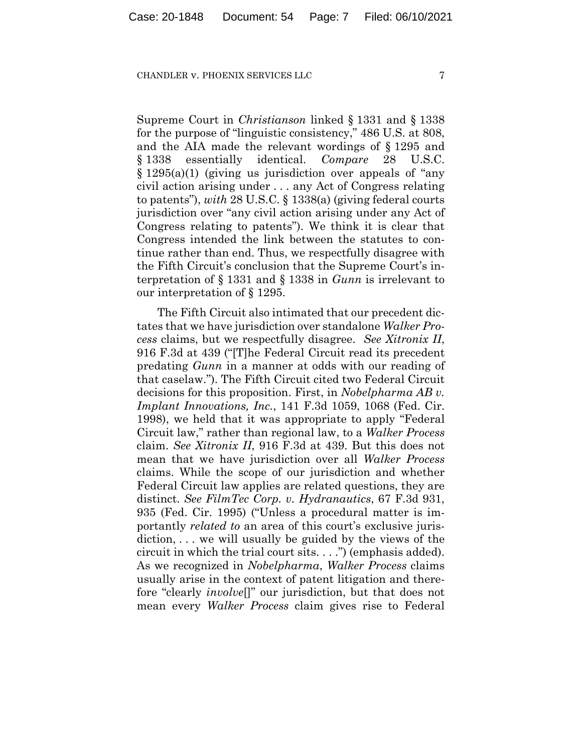Supreme Court in *Christianson* linked § 1331 and § 1338 for the purpose of "linguistic consistency," 486 U.S. at 808, and the AIA made the relevant wordings of § 1295 and § 1338 essentially identical. *Compare* 28 U.S.C. § 1295(a)(1) (giving us jurisdiction over appeals of "any civil action arising under . . . any Act of Congress relating to patents"), *with* 28 U.S.C. § 1338(a) (giving federal courts jurisdiction over "any civil action arising under any Act of Congress relating to patents"). We think it is clear that Congress intended the link between the statutes to continue rather than end. Thus, we respectfully disagree with the Fifth Circuit's conclusion that the Supreme Court's interpretation of § 1331 and § 1338 in *Gunn* is irrelevant to our interpretation of § 1295.

The Fifth Circuit also intimated that our precedent dictates that we have jurisdiction over standalone *Walker Process* claims, but we respectfully disagree. *See Xitronix II*, 916 F.3d at 439 ("[T]he Federal Circuit read its precedent predating *Gunn* in a manner at odds with our reading of that caselaw."). The Fifth Circuit cited two Federal Circuit decisions for this proposition. First, in *Nobelpharma AB v. Implant Innovations, Inc.*, 141 F.3d 1059, 1068 (Fed. Cir. 1998), we held that it was appropriate to apply "Federal Circuit law," rather than regional law, to a *Walker Process*  claim. *See Xitronix II*, 916 F.3d at 439. But this does not mean that we have jurisdiction over all *Walker Process*  claims. While the scope of our jurisdiction and whether Federal Circuit law applies are related questions, they are distinct. *See FilmTec Corp. v. Hydranautics*, 67 F.3d 931, 935 (Fed. Cir. 1995) ("Unless a procedural matter is importantly *related to* an area of this court's exclusive jurisdiction, . . . we will usually be guided by the views of the circuit in which the trial court sits. . . .") (emphasis added). As we recognized in *Nobelpharma*, *Walker Process* claims usually arise in the context of patent litigation and therefore "clearly *involve*[]" our jurisdiction, but that does not mean every *Walker Process* claim gives rise to Federal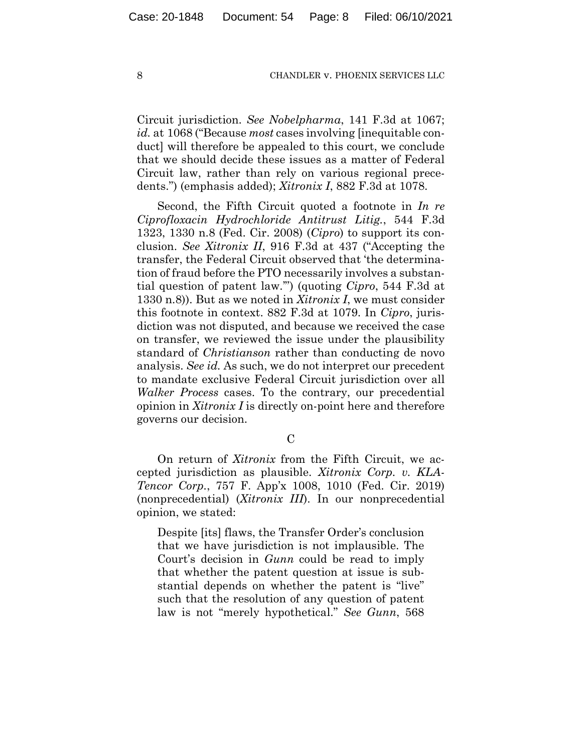Circuit jurisdiction. *See Nobelpharma*, 141 F.3d at 1067; *id.* at 1068 ("Because *most* cases involving [inequitable conduct] will therefore be appealed to this court, we conclude that we should decide these issues as a matter of Federal Circuit law, rather than rely on various regional precedents.") (emphasis added); *Xitronix I*, 882 F.3d at 1078.

Second, the Fifth Circuit quoted a footnote in *In re Ciprofloxacin Hydrochloride Antitrust Litig.*, 544 F.3d 1323, 1330 n.8 (Fed. Cir. 2008) (*Cipro*) to support its conclusion. *See Xitronix II*, 916 F.3d at 437 ("Accepting the transfer, the Federal Circuit observed that 'the determination of fraud before the PTO necessarily involves a substantial question of patent law.'") (quoting *Cipro*, 544 F.3d at 1330 n.8)). But as we noted in *Xitronix I*, we must consider this footnote in context. 882 F.3d at 1079. In *Cipro*, jurisdiction was not disputed, and because we received the case on transfer, we reviewed the issue under the plausibility standard of *Christianson* rather than conducting de novo analysis. *See id.* As such, we do not interpret our precedent to mandate exclusive Federal Circuit jurisdiction over all *Walker Process* cases. To the contrary, our precedential opinion in *Xitronix I* is directly on-point here and therefore governs our decision.

 $\mathcal{C}$ 

On return of *Xitronix* from the Fifth Circuit, we accepted jurisdiction as plausible. *Xitronix Corp. v. KLA-Tencor Corp.*, 757 F. App'x 1008, 1010 (Fed. Cir. 2019) (nonprecedential) (*Xitronix III*). In our nonprecedential opinion, we stated:

Despite [its] flaws, the Transfer Order's conclusion that we have jurisdiction is not implausible. The Court's decision in *Gunn* could be read to imply that whether the patent question at issue is substantial depends on whether the patent is "live" such that the resolution of any question of patent law is not "merely hypothetical." *See Gunn*, 568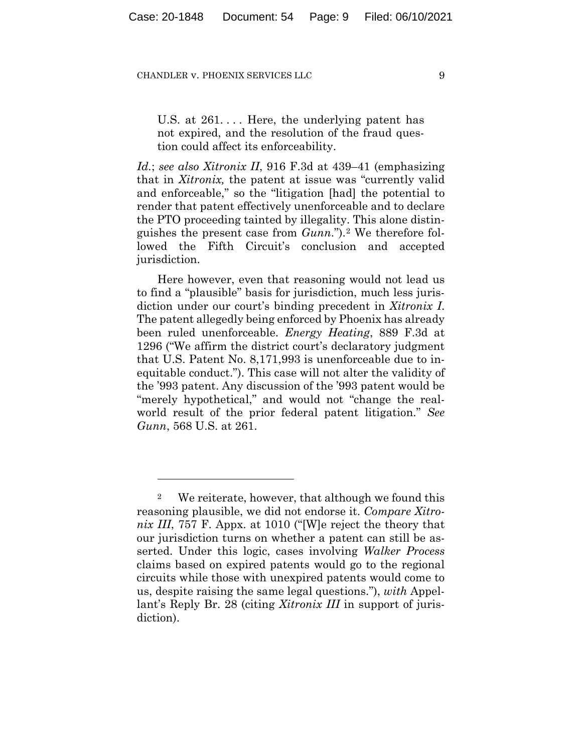U.S. at  $261...$  Here, the underlying patent has not expired, and the resolution of the fraud question could affect its enforceability.

*Id.*; *see also Xitronix II*, 916 F.3d at 439–41 (emphasizing that in *Xitronix,* the patent at issue was "currently valid and enforceable," so the "litigation [had] the potential to render that patent effectively unenforceable and to declare the PTO proceeding tainted by illegality. This alone distinguishes the present case from *Gunn*.").[2](#page-8-0) We therefore followed the Fifth Circuit's conclusion and accepted jurisdiction.

Here however, even that reasoning would not lead us to find a "plausible" basis for jurisdiction, much less jurisdiction under our court's binding precedent in *Xitronix I*. The patent allegedly being enforced by Phoenix has already been ruled unenforceable. *Energy Heating*, 889 F.3d at 1296 ("We affirm the district court's declaratory judgment that U.S. Patent No. 8,171,993 is unenforceable due to inequitable conduct."). This case will not alter the validity of the '993 patent. Any discussion of the '993 patent would be "merely hypothetical," and would not "change the realworld result of the prior federal patent litigation." *See Gunn*, 568 U.S. at 261.

<span id="page-8-0"></span><sup>2</sup> We reiterate, however, that although we found this reasoning plausible, we did not endorse it. *Compare Xitronix III*, 757 F. Appx. at 1010 ("[W]e reject the theory that our jurisdiction turns on whether a patent can still be asserted. Under this logic, cases involving *Walker Process* claims based on expired patents would go to the regional circuits while those with unexpired patents would come to us, despite raising the same legal questions."), *with* Appellant's Reply Br. 28 (citing *Xitronix III* in support of jurisdiction).